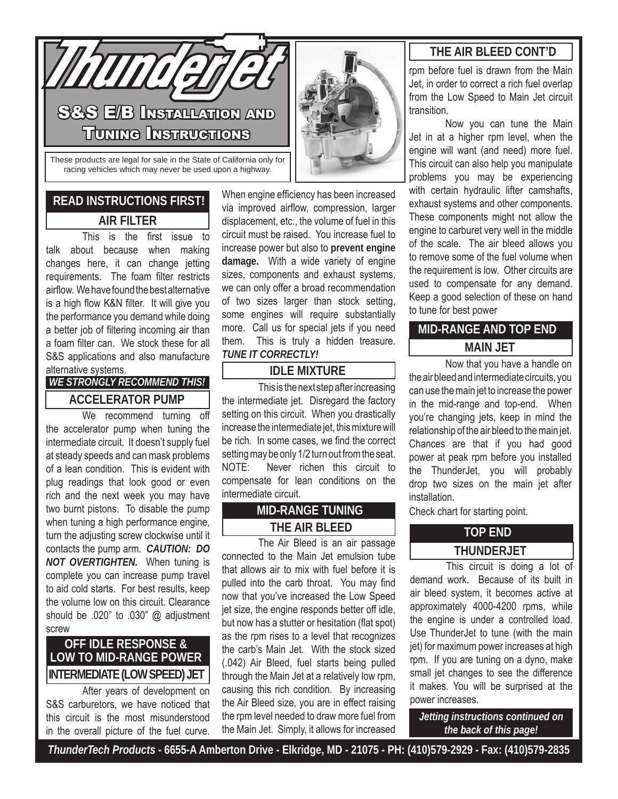

These products are legal for sale in the State of California only for racing vehicles which may never be used upon a highway.

# **READ INSTRUCTIONS FIRST! AIR FILTER**

 This is the first issue to talk about because when making changes here, it can change jetting requirements. The foam filter restricts airflow. Wehavefoundthebestalternative is a high flow K&N filter. It will give you the performance you demand while doing a better job of filtering incoming air than a foam filter can. We stock these for all S&S applications and also manufacture alternative systems.

*WE STRONGLY RECOMMEND THIS!*

### **ACCELERATOR PUMP**

We recommend turning off the accelerator pump when tuning the intermediate circuit. It doesn't supply fuel at steady speeds and canmask problems of a lean condition. This is evident with plug readings that look good or even rich and the next week you may have two burnt pistons. To disable the pump when tuning a high performance engine, turn the adjusting screw clockwise until it contacts the pump arm. *CAUTION: DO NOT OVERTIGHTEN.* When tuning is complete you can increase pump travel to aid cold starts. For best results, keep the volume low on this circuit. Clearance should be .020" to .030" @ adjustment screw

### **OFF IDLE RESPONSE & LOW TO MID-RANGE POWER INTERMEDIATE (LOW SPEED) JET**

 After years of development on S&S carburetors, we have noticed that this circuit is the most misunderstood in the overall picture of the fuel curve.

When engine efficiency has been increased via improved airflow, compression, larger displacement, etc., the volume of fuel in this circuit must be raised. You increase fuel to increase power but also to **prevent engine damage.** With a wide variety of engine sizes, components and exhaust systems, we can only offer a broad recommendation of two sizes larger than stock setting, some engines will require substantially more. Call us for special jets if you need them. This is truly a hidden treasure. *TUNE IT CORRECTLY!*

### **IDLE MIXTURE**

 Thisisthenextstepafterincreasing the intermediate jet. Disregard the factory setting on this circuit. When you drastically increase the intermediate jet, this mixture will be rich. In some cases, we find the correct setting may be only 1/2 turn out from the seat. NOTE: Never richen this circuit to compensate for lean conditions on the intermediate circuit.

### **MID-RANGE TUNING THE AIR BLEED**

 The Air Bleed is an air passage connected to the Main Jet emulsion tube that allows air to mix with fuel before it is pulled into the carb throat. You may find now that you've increased the Low Speed jet size, the engine responds better off idle, but now has a stutter or hesitation (flat spot) as the rpm rises to a level that recognizes the carb's Main Jet. With the stock sized (.042) Air Bleed, fuel starts being pulled through the Main Jet at a relatively low rpm, causing this rich condition. By increasing the Air Bleed size, you are in effect raising the rpm level needed to draw more fuel from the Main Jet. Simply, it allows for increased

### **THE AIR BLEED CONT'D**

rpm before fuel is drawn from the Main Jet, in order to correct a rich fuel overlap from the Low Speed to Main Jet circuit transition.

 Now you can tune the Main Jet in at a higher rpm level, when the engine will want (and need) more fuel. This circuit can also help you manipulate problems you may be experiencing with certain hydraulic lifter camshafts, exhaust systems and other components. These components might not allow the engine to carburet very well in the middle of the scale. The air bleed allows you to remove some of the fuel volume when the requirement is low. Other circuits are used to compensate for any demand. Keep a good selection of these on hand to tune for best power

### **MID-RANGE AND TOP END MAIN JET**

 Now that you have a handle on the air bleed and intermediate circuits, you can use the main jet to increase the power in the mid-range and top-end. When you're changing jets, keep in mind the relationship of the air bleed to themain jet. Chances are that if you had good power at peak rpm before you installed the ThunderJet, you will probably drop two sizes on the main jet after installation.

Check chart for starting point.

### **TOP END THUNDERJET**

 This circuit is doing a lot of demand work. Because of its built in air bleed system, it becomes active at approximately 4000-4200 rpms, while the engine is under a controlled load. Use ThunderJet to tune (with the main jet) for maximum power increases at high rpm. If you are tuning on a dyno, make small jet changes to see the difference it makes. You will be surprised at the power increases.

*Jetting instructions continued on the back of this page!*

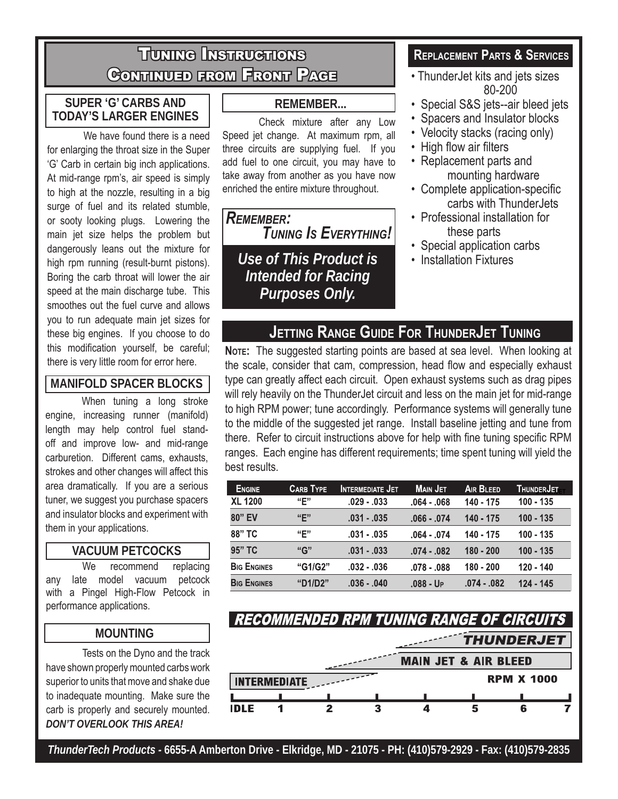# Tuning Instructions Continued from Front Page

### **SUPER 'G' CARBS AND TODAY'S LARGER ENGINES**

 We have found there is a need for enlarging the throat size in the Super 'G' Carb in certain big inch applications. At mid-range rpm's, air speed is simply to high at the nozzle, resulting in a big surge of fuel and its related stumble, or sooty looking plugs. Lowering the main jet size helps the problem but dangerously leans out the mixture for high rpm running (result-burnt pistons). Boring the carb throat will lower the air speed at the main discharge tube. This smoothes out the fuel curve and allows you to run adequate main jet sizes for these big engines. If you choose to do this modification yourself, be careful;

### **MANIFOLD SPACER BLOCKS**

 When tuning a long stroke engine, increasing runner (manifold) length may help control fuel standoff and improve low- and mid-range carburetion. Different cams, exhausts, strokes and other changes will affect this area dramatically. If you are a serious tuner, we suggest you purchase spacers and insulator blocks and experiment with them in your applications.

### **VACUUM PETCOCKS**

We recommend replacing any late model vacuum petcock with a Pingel High-Flow Petcock in performance applications.

### **MOUNTING**

 Tests on the Dyno and the track have shown properly mounted carbs work superior to units that move and shake due to inadequate mounting. Make sure the carb is properly and securely mounted. *DON'T OVERLOOK THIS AREA!*

### **REMEMBER...**

 Check mixture after any Low Speed jet change. At maximum rpm, all three circuits are supplying fuel. If you add fuel to one circuit, you may have to take away from another as you have now enriched the entire mixture throughout.

*Remember: Tuning Is Everything!*

*Use of This Product is Intended for Racing Purposes Only.*

### **Replacement Parts & Services**

- ThunderJet kits and jets sizes 80-200
- Special S&S jets--air bleed jets
- Spacers and Insulator blocks
- Velocity stacks (racing only)
- High flow air filters
- Replacement parts and mounting hardware
- Complete application-specific carbs with ThunderJets
- Professional installation for these parts
- Special application carbs
- Installation Fixtures

# **Jetting Range Guide For ThunderJet Tuning**

this modification yourself, be careful; **Note:** The suggested starting points are based at sea level. When looking at<br>there is very little room for error here. **the scale consider that cam compression** head flow and especi the scale, consider that cam, compression, head flow and especially exhaust type can greatly affect each circuit. Open exhaust systems such as drag pipes will rely heavily on the ThunderJet circuit and less on the main jet for mid-range to high RPM power; tune accordingly. Performance systems will generally tune to the middle of the suggested jet range. Install baseline jetting and tune from there. Refer to circuit instructions above for help with fine tuning specific RPM ranges. Each engine has different requirements; time spent tuning will yield the best results.

| <b>ENGINE</b>      | <b>CARB TYPE</b> | <b>INTERMEDIATE JET</b> | <b>MAIN JET</b> | <b>AIR BLEED</b> | ThunderJet  |
|--------------------|------------------|-------------------------|-----------------|------------------|-------------|
| <b>XL 1200</b>     | "E"              | $.029 - .033$           | $.064 - .068$   | 140 - 175        | $100 - 135$ |
| 80" EV             | "E"              | $.031 - .035$           | $.066 - .074$   | 140 - 175        | $100 - 135$ |
| 88" TC             | "E"              | $.031 - .035$           | $.064-.074$     | 140 - 175        | $100 - 135$ |
| 95" TC             | "G"              | $.031 - .033$           | $.074-.082$     | $180 - 200$      | $100 - 135$ |
| <b>BIG ENGINES</b> | "G1/G2"          | $.032 - .036$           | $.078 - .088$   | $180 - 200$      | $120 - 140$ |
| <b>BIG ENGINES</b> | "D1/D2"          | $.036 - .040$           | $.088 - UP$     | $.074-.082$      | $124 - 145$ |

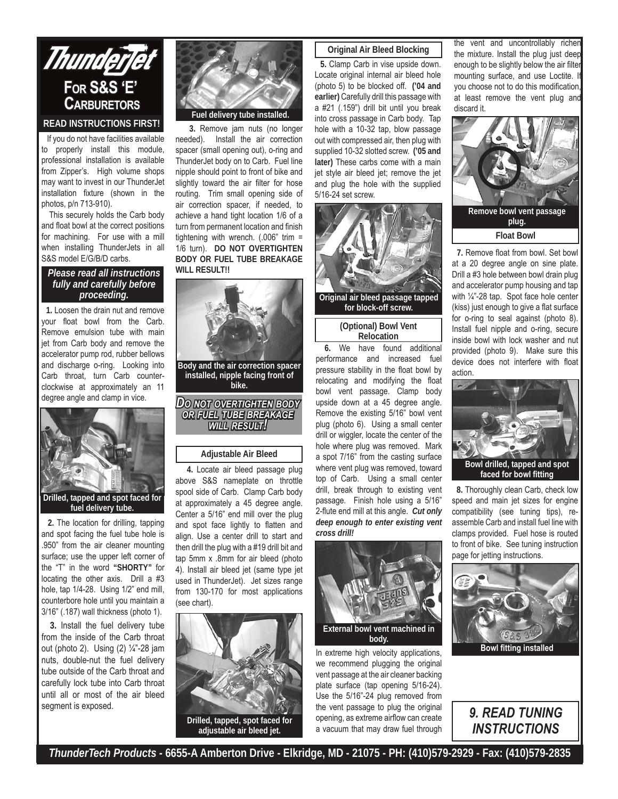

#### **READ INSTRUCTIONS FIRST!**

 If you do not have facilities available to properly install this module, professional installation is available from Zipper's. High volume shops may want to invest in our ThunderJet installation fixture (shown in the photos, p/n 713-910).

 This securely holds the Carb body and float bowl at the correct positions for machining. For use with a mill when installing ThunderJets in all S&S model E/G/B/D carbs.

#### *Please read all instructions fully and carefully before proceeding.*

 **1.** Loosen the drain nut and remove your float bowl from the Carb. Remove emulsion tube with main jet from Carb body and remove the accelerator pump rod, rubber bellows and discharge o-ring. Looking into Carb throat, turn Carb counterclockwise at approximately an 11 degree angle and clamp in vice.



**2.** The location for drilling, tapping and spot facing the fuel tube hole is .950" from the air cleaner mounting surface; use the upper left corner of the "T" in the word **"SHORTY"** for locating the other axis. Drill a #3 hole, tap 1/4-28. Using 1/2" end mill, counterbore hole until you maintain a 3/16" (.187) wall thickness (photo 1).

 **3.** Install the fuel delivery tube from the inside of the Carb throat out (photo 2). Using (2) ¼"-28 jam nuts, double-nut the fuel delivery tube outside of the Carb throat and carefully lock tube into Carb throat until all or most of the air bleed segment is exposed.



**Fuel delivery tube installed.** 

 **3.** Remove jam nuts (no longer needed). Install the air correction spacer (small opening out), o-ring and ThunderJet body on to Carb. Fuel line nipple should point to front of bike and slightly toward the air filter for hose routing. Trim small opening side of air correction spacer, if needed, to achieve a hand tight location 1/6 of a turn from permanent location and finish tightening with wrench. (.006" trim = 1/6 turn). **DO NOT OVERTIGHTEN BODY OR FUEL TUBE BREAKAGE WILL RESULT!!** 



#### **Adjustable Air Bleed**

 **4.** Locate air bleed passage plug above S&S nameplate on throttle spool side of Carb. Clamp Carb body at approximately a 45 degree angle. Center a 5/16" end mill over the plug and spot face lightly to flatten and align. Use a center drill to start and then drill the plug with a #19 drill bit and tap 5mm x .8mm for air bleed (photo 4). Install air bleed jet (same type jet used in ThunderJet). Jet sizes range from 130-170 for most applications (see chart).



**Drilled, tapped, spot faced for adjustable air bleed jet.** 

#### **Original Air Bleed Blocking**

 **5.** Clamp Carb in vise upside down. Locate original internal air bleed hole (photo 5) to be blocked off. **('04 and earlier)** Carefully drill this passage with a #21 (.159") drill bit until you break into cross passage in Carb body. Tap hole with a 10-32 tap, blow passage out with compressed air, then plug with supplied 10-32 slotted screw. **('05 and later)** These carbs come with a main jet style air bleed jet; remove the jet and plug the hole with the supplied 5/16-24 set screw.



#### **Relocation**

**6.** We have found additional performance and increased fuel pressure stability in the float bowl by relocating and modifying the float bowl vent passage. Clamp body upside down at a 45 degree angle. Remove the existing 5/16" bowl vent plug (photo 6). Using a small center drill or wiggler, locate the center of the hole where plug was removed. Mark a spot 7/16" from the casting surface where vent plug was removed, toward top of Carb. Using a small center drill, break through to existing vent passage. Finish hole using a 5/16" 2-flute end mill at this angle. *Cut only deep enough to enter existing vent cross drill!* 



In extreme high velocity applications, we recommend plugging the original vent passage at the air cleaner backing plate surface (tap opening 5/16-24). Use the 5/16"-24 plug removed from the vent passage to plug the original opening, as extreme airflow can create a vacuum that may draw fuel through

the vent and uncontrollably richer the mixture. Install the plug just deep enough to be slightly below the air filter mounting surface, and use Loctite. If you choose not to do this modification, at least remove the vent plug and discard it.



 **7.** Remove float from bowl. Set bowl at a 20 degree angle on sine plate. Drill a #3 hole between bowl drain plug and accelerator pump housing and tap with ¼"-28 tap. Spot face hole center (kiss) just enough to give a flat surface for o-ring to seal against (photo 8). Install fuel nipple and o-ring, secure inside bowl with lock washer and nut provided (photo 9). Make sure this device does not interfere with float action.



 **8.** Thoroughly clean Carb, check low speed and main jet sizes for engine compatibility (see tuning tips), reassemble Carb and install fuel line with clamps provided. Fuel hose is routed to front of bike. See tuning instruction page for jetting instructions.



**Bowl fitting installed** 

### *9. READ TUNING INSTRUCTIONS*